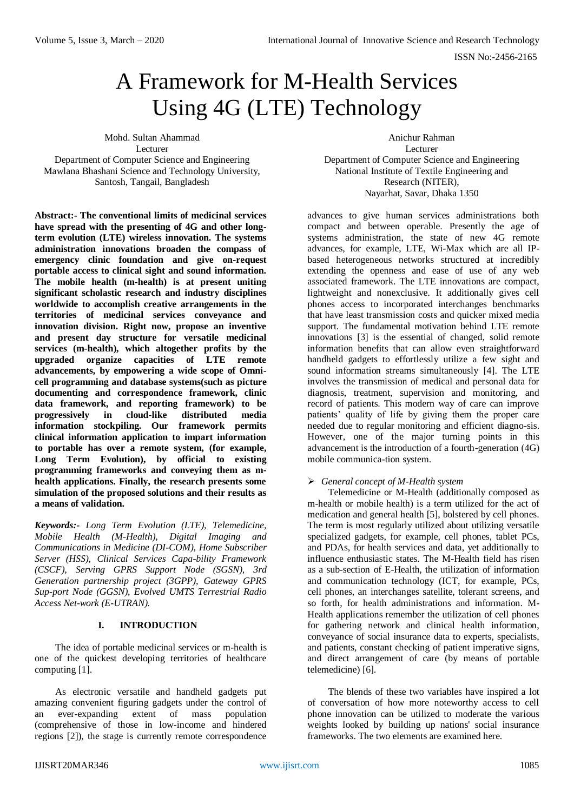# A Framework for M-Health Services Using 4G (LTE) Technology

Mohd. Sultan Ahammad Lecturer Department of Computer Science and Engineering

Mawlana Bhashani Science and Technology University, Santosh, Tangail, Bangladesh

**Abstract:- The conventional limits of medicinal services have spread with the presenting of 4G and other longterm evolution (LTE) wireless innovation. The systems administration innovations broaden the compass of emergency clinic foundation and give on-request portable access to clinical sight and sound information. The mobile health (m-health) is at present uniting significant scholastic research and industry disciplines worldwide to accomplish creative arrangements in the territories of medicinal services conveyance and innovation division. Right now, propose an inventive and present day structure for versatile medicinal services (m-health), which altogether profits by the upgraded organize capacities of LTE remote advancements, by empowering a wide scope of Omnicell programming and database systems(such as picture documenting and correspondence framework, clinic data framework, and reporting framework) to be progressively in cloud-like distributed media information stockpiling. Our framework permits clinical information application to impart information to portable has over a remote system, (for example, Long Term Evolution), by official to existing programming frameworks and conveying them as mhealth applications. Finally, the research presents some simulation of the proposed solutions and their results as a means of validation.**

*Keywords:- Long Term Evolution (LTE), Telemedicine, Mobile Health (M-Health), Digital Imaging and Communications in Medicine (DI-COM), Home Subscriber Server (HSS), Clinical Services Capa-bility Framework (CSCF), Serving GPRS Support Node (SGSN), 3rd Generation partnership project (3GPP), Gateway GPRS Sup-port Node (GGSN), Evolved UMTS Terrestrial Radio Access Net-work (E-UTRAN).*

## **I. INTRODUCTION**

The idea of portable medicinal services or m-health is one of the quickest developing territories of healthcare computing [1].

As electronic versatile and handheld gadgets put amazing convenient figuring gadgets under the control of an ever-expanding extent of mass population (comprehensive of those in low-income and hindered regions [2]), the stage is currently remote correspondence

Anichur Rahman Lecturer Department of Computer Science and Engineering National Institute of Textile Engineering and Research (NITER), Nayarhat, Savar, Dhaka 1350

advances to give human services administrations both compact and between operable. Presently the age of systems administration, the state of new 4G remote advances, for example, LTE, Wi-Max which are all IPbased heterogeneous networks structured at incredibly extending the openness and ease of use of any web associated framework. The LTE innovations are compact, lightweight and nonexclusive. It additionally gives cell phones access to incorporated interchanges benchmarks that have least transmission costs and quicker mixed media support. The fundamental motivation behind LTE remote innovations [3] is the essential of changed, solid remote information benefits that can allow even straightforward handheld gadgets to effortlessly utilize a few sight and sound information streams simultaneously [4]. The LTE involves the transmission of medical and personal data for diagnosis, treatment, supervision and monitoring, and record of patients. This modern way of care can improve patients' quality of life by giving them the proper care needed due to regular monitoring and efficient diagno-sis. However, one of the major turning points in this advancement is the introduction of a fourth-generation (4G) mobile communica-tion system.

#### *General concept of M-Health system*

Telemedicine or M-Health (additionally composed as m-health or mobile health) is a term utilized for the act of medication and general health [5], bolstered by cell phones. The term is most regularly utilized about utilizing versatile specialized gadgets, for example, cell phones, tablet PCs, and PDAs, for health services and data, yet additionally to influence enthusiastic states. The M-Health field has risen as a sub-section of E-Health, the utilization of information and communication technology (ICT, for example, PCs, cell phones, an interchanges satellite, tolerant screens, and so forth, for health administrations and information. M-Health applications remember the utilization of cell phones for gathering network and clinical health information, conveyance of social insurance data to experts, specialists, and patients, constant checking of patient imperative signs, and direct arrangement of care (by means of portable telemedicine) [6].

The blends of these two variables have inspired a lot of conversation of how more noteworthy access to cell phone innovation can be utilized to moderate the various weights looked by building up nations' social insurance frameworks. The two elements are examined here.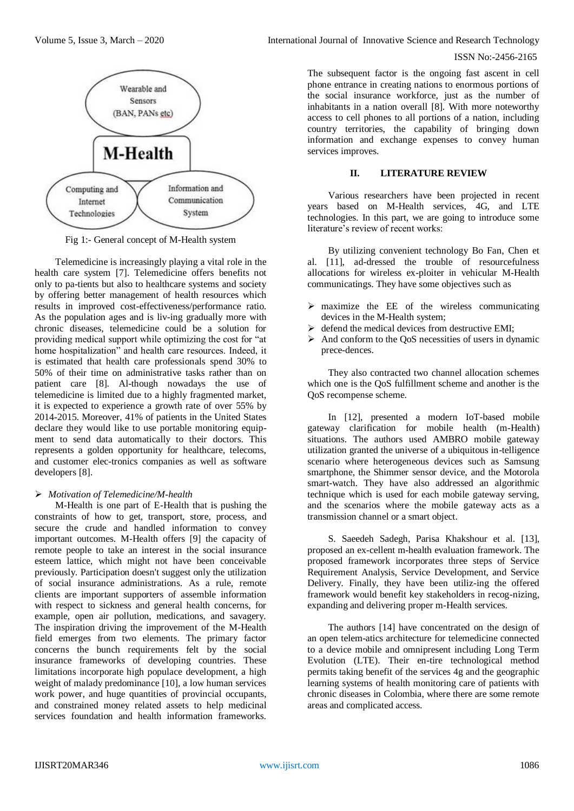

Fig 1:- General concept of M-Health system

Telemedicine is increasingly playing a vital role in the health care system [7]. Telemedicine offers benefits not only to pa-tients but also to healthcare systems and society by offering better management of health resources which results in improved cost-effectiveness/performance ratio. As the population ages and is liv-ing gradually more with chronic diseases, telemedicine could be a solution for providing medical support while optimizing the cost for "at home hospitalization" and health care resources. Indeed, it is estimated that health care professionals spend 30% to 50% of their time on administrative tasks rather than on patient care [8]. Al-though nowadays the use of telemedicine is limited due to a highly fragmented market, it is expected to experience a growth rate of over 55% by 2014-2015. Moreover, 41% of patients in the United States declare they would like to use portable monitoring equipment to send data automatically to their doctors. This represents a golden opportunity for healthcare, telecoms, and customer elec-tronics companies as well as software developers [8].

## *Motivation of Telemedicine/M-health*

M-Health is one part of E-Health that is pushing the constraints of how to get, transport, store, process, and secure the crude and handled information to convey important outcomes. M-Health offers [9] the capacity of remote people to take an interest in the social insurance esteem lattice, which might not have been conceivable previously. Participation doesn't suggest only the utilization of social insurance administrations. As a rule, remote clients are important supporters of assemble information with respect to sickness and general health concerns, for example, open air pollution, medications, and savagery. The inspiration driving the improvement of the M-Health field emerges from two elements. The primary factor concerns the bunch requirements felt by the social insurance frameworks of developing countries. These limitations incorporate high populace development, a high weight of malady predominance [10], a low human services work power, and huge quantities of provincial occupants, and constrained money related assets to help medicinal services foundation and health information frameworks.

# ISSN No:-2456-2165

The subsequent factor is the ongoing fast ascent in cell phone entrance in creating nations to enormous portions of the social insurance workforce, just as the number of inhabitants in a nation overall [8]. With more noteworthy access to cell phones to all portions of a nation, including country territories, the capability of bringing down information and exchange expenses to convey human services improves.

## **II. LITERATURE REVIEW**

Various researchers have been projected in recent years based on M-Health services, 4G, and LTE technologies. In this part, we are going to introduce some literature's review of recent works:

By utilizing convenient technology Bo Fan, Chen et al. [11], ad-dressed the trouble of resourcefulness allocations for wireless ex-ploiter in vehicular M-Health communicatings. They have some objectives such as

- $\triangleright$  maximize the EE of the wireless communicating devices in the M-Health system;
- $\triangleright$  defend the medical devices from destructive EMI;
- $\triangleright$  And conform to the QoS necessities of users in dynamic prece-dences.

They also contracted two channel allocation schemes which one is the QoS fulfillment scheme and another is the QoS recompense scheme.

In [12], presented a modern IoT-based mobile gateway clarification for mobile health (m-Health) situations. The authors used AMBRO mobile gateway utilization granted the universe of a ubiquitous in-telligence scenario where heterogeneous devices such as Samsung smartphone, the Shimmer sensor device, and the Motorola smart-watch. They have also addressed an algorithmic technique which is used for each mobile gateway serving, and the scenarios where the mobile gateway acts as a transmission channel or a smart object.

S. Saeedeh Sadegh, Parisa Khakshour et al. [13], proposed an ex-cellent m-health evaluation framework. The proposed framework incorporates three steps of Service Requirement Analysis, Service Development, and Service Delivery. Finally, they have been utiliz-ing the offered framework would benefit key stakeholders in recog-nizing, expanding and delivering proper m-Health services.

The authors [14] have concentrated on the design of an open telem-atics architecture for telemedicine connected to a device mobile and omnipresent including Long Term Evolution (LTE). Their en-tire technological method permits taking benefit of the services 4g and the geographic learning systems of health monitoring care of patients with chronic diseases in Colombia, where there are some remote areas and complicated access.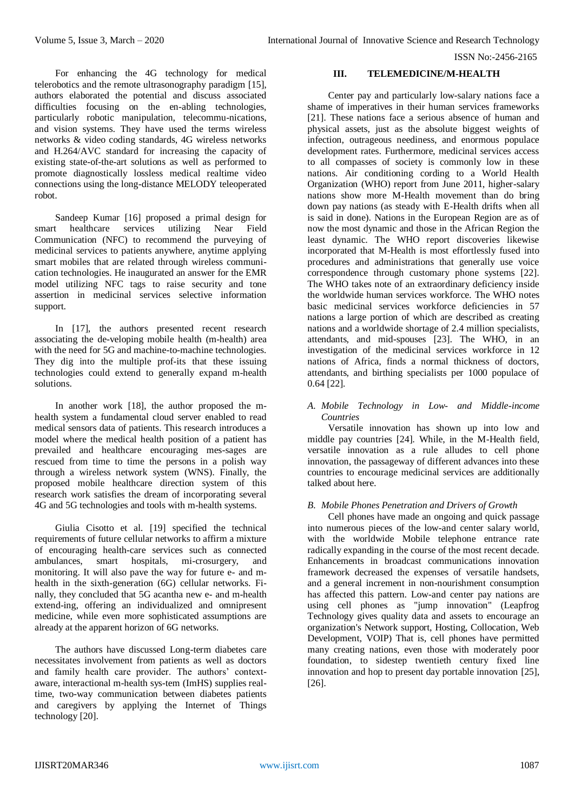For enhancing the 4G technology for medical telerobotics and the remote ultrasonography paradigm [15], authors elaborated the potential and discuss associated difficulties focusing on the en-abling technologies, particularly robotic manipulation, telecommu-nications, and vision systems. They have used the terms wireless networks & video coding standards, 4G wireless networks and H.264/AVC standard for increasing the capacity of existing state-of-the-art solutions as well as performed to promote diagnostically lossless medical realtime video connections using the long-distance MELODY teleoperated robot.

Sandeep Kumar [16] proposed a primal design for smart healthcare services utilizing Near Field Communication (NFC) to recommend the purveying of medicinal services to patients anywhere, anytime applying smart mobiles that are related through wireless communication technologies. He inaugurated an answer for the EMR model utilizing NFC tags to raise security and tone assertion in medicinal services selective information support.

In [17], the authors presented recent research associating the de-veloping mobile health (m-health) area with the need for 5G and machine-to-machine technologies. They dig into the multiple prof-its that these issuing technologies could extend to generally expand m-health solutions.

In another work [18], the author proposed the mhealth system a fundamental cloud server enabled to read medical sensors data of patients. This research introduces a model where the medical health position of a patient has prevailed and healthcare encouraging mes-sages are rescued from time to time the persons in a polish way through a wireless network system (WNS). Finally, the proposed mobile healthcare direction system of this research work satisfies the dream of incorporating several 4G and 5G technologies and tools with m-health systems.

Giulia Cisotto et al. [19] specified the technical requirements of future cellular networks to affirm a mixture of encouraging health-care services such as connected ambulances, smart hospitals, mi-crosurgery, and monitoring. It will also pave the way for future e- and mhealth in the sixth-generation (6G) cellular networks. Finally, they concluded that 5G acantha new e- and m-health extend-ing, offering an individualized and omnipresent medicine, while even more sophisticated assumptions are already at the apparent horizon of 6G networks.

The authors have discussed Long-term diabetes care necessitates involvement from patients as well as doctors and family health care provider. The authors' contextaware, interactional m-health sys-tem (ImHS) supplies realtime, two-way communication between diabetes patients and caregivers by applying the Internet of Things technology [20].

#### **III. TELEMEDICINE/M-HEALTH**

Center pay and particularly low-salary nations face a shame of imperatives in their human services frameworks [21]. These nations face a serious absence of human and physical assets, just as the absolute biggest weights of infection, outrageous neediness, and enormous populace development rates. Furthermore, medicinal services access to all compasses of society is commonly low in these nations. Air conditioning cording to a World Health Organization (WHO) report from June 2011, higher-salary nations show more M-Health movement than do bring down pay nations (as steady with E-Health drifts when all is said in done). Nations in the European Region are as of now the most dynamic and those in the African Region the least dynamic. The WHO report discoveries likewise incorporated that M-Health is most effortlessly fused into procedures and administrations that generally use voice correspondence through customary phone systems [22]. The WHO takes note of an extraordinary deficiency inside the worldwide human services workforce. The WHO notes basic medicinal services workforce deficiencies in 57 nations a large portion of which are described as creating nations and a worldwide shortage of 2.4 million specialists, attendants, and mid-spouses [23]. The WHO, in an investigation of the medicinal services workforce in 12 nations of Africa, finds a normal thickness of doctors, attendants, and birthing specialists per 1000 populace of 0.64 [22].

## *A. Mobile Technology in Low- and Middle-income Countries*

Versatile innovation has shown up into low and middle pay countries [24]. While, in the M-Health field, versatile innovation as a rule alludes to cell phone innovation, the passageway of different advances into these countries to encourage medicinal services are additionally talked about here.

## *B. Mobile Phones Penetration and Drivers of Growth*

Cell phones have made an ongoing and quick passage into numerous pieces of the low-and center salary world, with the worldwide Mobile telephone entrance rate radically expanding in the course of the most recent decade. Enhancements in broadcast communications innovation framework decreased the expenses of versatile handsets, and a general increment in non-nourishment consumption has affected this pattern. Low-and center pay nations are using cell phones as "jump innovation" (Leapfrog Technology gives quality data and assets to encourage an organization's Network support, Hosting, Collocation, Web Development, VOIP) That is, cell phones have permitted many creating nations, even those with moderately poor foundation, to sidestep twentieth century fixed line innovation and hop to present day portable innovation [25], [26].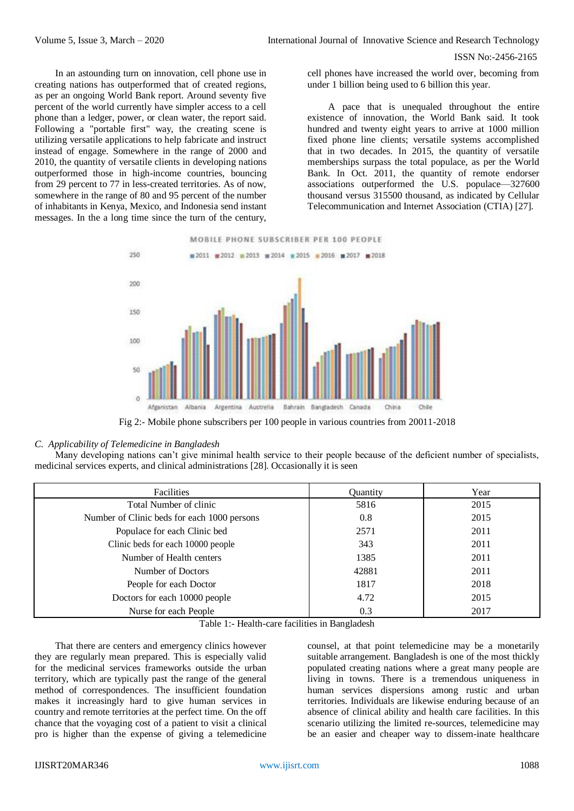In an astounding turn on innovation, cell phone use in creating nations has outperformed that of created regions, as per an ongoing World Bank report. Around seventy five percent of the world currently have simpler access to a cell phone than a ledger, power, or clean water, the report said. Following a "portable first" way, the creating scene is utilizing versatile applications to help fabricate and instruct instead of engage. Somewhere in the range of 2000 and 2010, the quantity of versatile clients in developing nations outperformed those in high-income countries, bouncing from 29 percent to 77 in less-created territories. As of now, somewhere in the range of 80 and 95 percent of the number of inhabitants in Kenya, Mexico, and Indonesia send instant messages. In the a long time since the turn of the century,

cell phones have increased the world over, becoming from under 1 billion being used to 6 billion this year.

A pace that is unequaled throughout the entire existence of innovation, the World Bank said. It took hundred and twenty eight years to arrive at 1000 million fixed phone line clients; versatile systems accomplished that in two decades. In 2015, the quantity of versatile memberships surpass the total populace, as per the World Bank. In Oct. 2011, the quantity of remote endorser associations outperformed the U.S. populace—327600 thousand versus 315500 thousand, as indicated by Cellular Telecommunication and Internet Association (CTIA) [27].



Fig 2:- Mobile phone subscribers per 100 people in various countries from 20011-2018

#### *C. Applicability of Telemedicine in Bangladesh*

Many developing nations can't give minimal health service to their people because of the deficient number of specialists, medicinal services experts, and clinical administrations [28]. Occasionally it is seen

| Facilities                                  | Quantity | Year |
|---------------------------------------------|----------|------|
| Total Number of clinic                      | 5816     | 2015 |
| Number of Clinic beds for each 1000 persons | 0.8      | 2015 |
| Populace for each Clinic bed                | 2571     | 2011 |
| Clinic beds for each 10000 people           | 343      | 2011 |
| Number of Health centers                    | 1385     | 2011 |
| Number of Doctors                           | 42881    | 2011 |
| People for each Doctor                      | 1817     | 2018 |
| Doctors for each 10000 people               | 4.72     | 2015 |
| Nurse for each People                       | 0.3      | 2017 |

Table 1:- Health-care facilities in Bangladesh

That there are centers and emergency clinics however they are regularly mean prepared. This is especially valid for the medicinal services frameworks outside the urban territory, which are typically past the range of the general method of correspondences. The insufficient foundation makes it increasingly hard to give human services in country and remote territories at the perfect time. On the off chance that the voyaging cost of a patient to visit a clinical pro is higher than the expense of giving a telemedicine

counsel, at that point telemedicine may be a monetarily suitable arrangement. Bangladesh is one of the most thickly populated creating nations where a great many people are living in towns. There is a tremendous uniqueness in human services dispersions among rustic and urban territories. Individuals are likewise enduring because of an absence of clinical ability and health care facilities. In this scenario utilizing the limited re-sources, telemedicine may be an easier and cheaper way to dissem-inate healthcare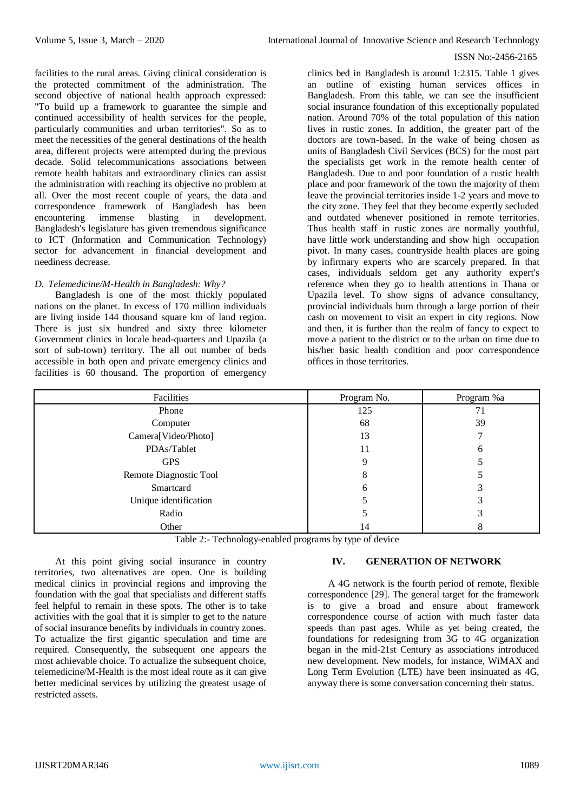facilities to the rural areas. Giving clinical consideration is the protected commitment of the administration. The second objective of national health approach expressed: "To build up a framework to guarantee the simple and continued accessibility of health services for the people, particularly communities and urban territories". So as to meet the necessities of the general destinations of the health area, different projects were attempted during the previous decade. Solid telecommunications associations between remote health habitats and extraordinary clinics can assist the administration with reaching its objective no problem at all. Over the most recent couple of years, the data and correspondence framework of Bangladesh has been encountering immense blasting in development. Bangladesh's legislature has given tremendous significance to ICT (Information and Communication Technology) sector for advancement in financial development and neediness decrease.

## *D. Telemedicine/M-Health in Bangladesh: Why?*

Bangladesh is one of the most thickly populated nations on the planet. In excess of 170 million individuals are living inside 144 thousand square km of land region. There is just six hundred and sixty three kilometer Government clinics in locale head-quarters and Upazila (a sort of sub-town) territory. The all out number of beds accessible in both open and private emergency clinics and facilities is 60 thousand. The proportion of emergency

clinics bed in Bangladesh is around 1:2315. Table 1 gives an outline of existing human services offices in Bangladesh. From this table, we can see the insufficient social insurance foundation of this exceptionally populated nation. Around 70% of the total population of this nation lives in rustic zones. In addition, the greater part of the doctors are town-based. In the wake of being chosen as units of Bangladesh Civil Services (BCS) for the most part the specialists get work in the remote health center of Bangladesh. Due to and poor foundation of a rustic health place and poor framework of the town the majority of them leave the provincial territories inside 1-2 years and move to the city zone. They feel that they become expertly secluded and outdated whenever positioned in remote territories. Thus health staff in rustic zones are normally youthful, have little work understanding and show high occupation pivot. In many cases, countryside health places are going by infirmary experts who are scarcely prepared. In that cases, individuals seldom get any authority expert's reference when they go to health attentions in Thana or Upazila level. To show signs of advance consultancy, provincial individuals burn through a large portion of their cash on movement to visit an expert in city regions. Now and then, it is further than the realm of fancy to expect to move a patient to the district or to the urban on time due to his/her basic health condition and poor correspondence offices in those territories.

| Facilities             | Program No. | Program %a   |
|------------------------|-------------|--------------|
| Phone                  | 125         | 71           |
| Computer               | 68          | 39           |
| Camera[Video/Photo]    | 13          |              |
| PDAs/Tablet            | 11          | <sub>0</sub> |
| <b>GPS</b>             | 9           |              |
| Remote Diagnostic Tool | 8           |              |
| Smartcard              | h           |              |
| Unique identification  |             |              |
| Radio                  |             |              |
| Other                  | 14          |              |

Table 2:- Technology-enabled programs by type of device

At this point giving social insurance in country territories, two alternatives are open. One is building medical clinics in provincial regions and improving the foundation with the goal that specialists and different staffs feel helpful to remain in these spots. The other is to take activities with the goal that it is simpler to get to the nature of social insurance benefits by individuals in country zones. To actualize the first gigantic speculation and time are required. Consequently, the subsequent one appears the most achievable choice. To actualize the subsequent choice, telemedicine/M-Health is the most ideal route as it can give better medicinal services by utilizing the greatest usage of restricted assets.

## **IV. GENERATION OF NETWORK**

A 4G network is the fourth period of remote, flexible correspondence [29]. The general target for the framework is to give a broad and ensure about framework correspondence course of action with much faster data speeds than past ages. While as yet being created, the foundations for redesigning from 3G to 4G organization began in the mid-21st Century as associations introduced new development. New models, for instance, WiMAX and Long Term Evolution (LTE) have been insinuated as 4G, anyway there is some conversation concerning their status.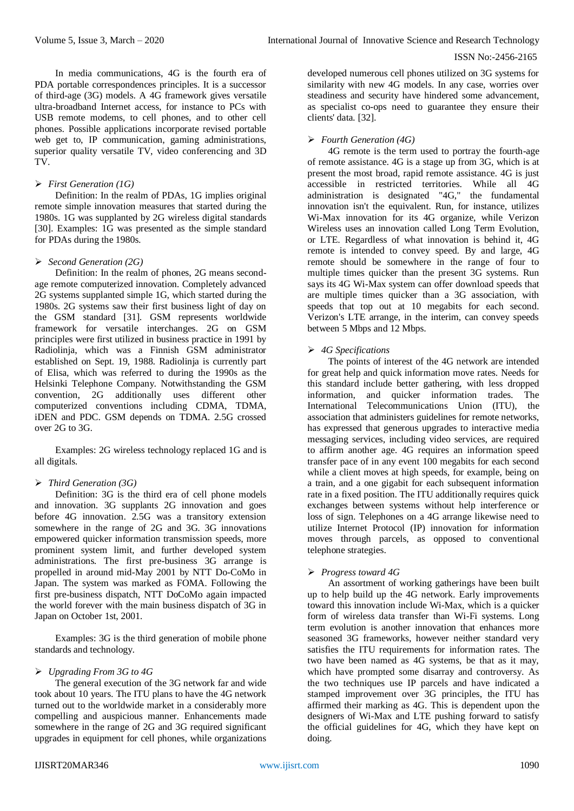In media communications, 4G is the fourth era of PDA portable correspondences principles. It is a successor of third-age (3G) models. A 4G framework gives versatile ultra-broadband Internet access, for instance to PCs with USB remote modems, to cell phones, and to other cell phones. Possible applications incorporate revised portable web get to, IP communication, gaming administrations, superior quality versatile TV, video conferencing and 3D TV.

## *First Generation (1G)*

Definition: In the realm of PDAs, 1G implies original remote simple innovation measures that started during the 1980s. 1G was supplanted by 2G wireless digital standards [30]. Examples: 1G was presented as the simple standard for PDAs during the 1980s.

## *Second Generation (2G)*

Definition: In the realm of phones, 2G means secondage remote computerized innovation. Completely advanced 2G systems supplanted simple 1G, which started during the 1980s. 2G systems saw their first business light of day on the GSM standard [31]. GSM represents worldwide framework for versatile interchanges. 2G on GSM principles were first utilized in business practice in 1991 by Radiolinja, which was a Finnish GSM administrator established on Sept. 19, 1988. Radiolinja is currently part of Elisa, which was referred to during the 1990s as the Helsinki Telephone Company. Notwithstanding the GSM convention, 2G additionally uses different other computerized conventions including CDMA, TDMA, iDEN and PDC. GSM depends on TDMA. 2.5G crossed over 2G to 3G.

Examples: 2G wireless technology replaced 1G and is all digitals.

# *Third Generation (3G)*

Definition: 3G is the third era of cell phone models and innovation. 3G supplants 2G innovation and goes before 4G innovation. 2.5G was a transitory extension somewhere in the range of 2G and 3G. 3G innovations empowered quicker information transmission speeds, more prominent system limit, and further developed system administrations. The first pre-business 3G arrange is propelled in around mid-May 2001 by NTT Do-CoMo in Japan. The system was marked as FOMA. Following the first pre-business dispatch, NTT DoCoMo again impacted the world forever with the main business dispatch of 3G in Japan on October 1st, 2001.

Examples: 3G is the third generation of mobile phone standards and technology.

## *Upgrading From 3G to 4G*

The general execution of the 3G network far and wide took about 10 years. The ITU plans to have the 4G network turned out to the worldwide market in a considerably more compelling and auspicious manner. Enhancements made somewhere in the range of 2G and 3G required significant upgrades in equipment for cell phones, while organizations developed numerous cell phones utilized on 3G systems for similarity with new 4G models. In any case, worries over steadiness and security have hindered some advancement, as specialist co-ops need to guarantee they ensure their clients' data. [32].

## *Fourth Generation (4G)*

4G remote is the term used to portray the fourth-age of remote assistance. 4G is a stage up from 3G, which is at present the most broad, rapid remote assistance. 4G is just accessible in restricted territories. While all 4G administration is designated "4G," the fundamental innovation isn't the equivalent. Run, for instance, utilizes Wi-Max innovation for its 4G organize, while Verizon Wireless uses an innovation called Long Term Evolution, or LTE. Regardless of what innovation is behind it, 4G remote is intended to convey speed. By and large, 4G remote should be somewhere in the range of four to multiple times quicker than the present 3G systems. Run says its 4G Wi-Max system can offer download speeds that are multiple times quicker than a 3G association, with speeds that top out at 10 megabits for each second. Verizon's LTE arrange, in the interim, can convey speeds between 5 Mbps and 12 Mbps.

## *4G Specifications*

The points of interest of the 4G network are intended for great help and quick information move rates. Needs for this standard include better gathering, with less dropped information, and quicker information trades. The International Telecommunications Union (ITU), the association that administers guidelines for remote networks, has expressed that generous upgrades to interactive media messaging services, including video services, are required to affirm another age. 4G requires an information speed transfer pace of in any event 100 megabits for each second while a client moves at high speeds, for example, being on a train, and a one gigabit for each subsequent information rate in a fixed position. The ITU additionally requires quick exchanges between systems without help interference or loss of sign. Telephones on a 4G arrange likewise need to utilize Internet Protocol (IP) innovation for information moves through parcels, as opposed to conventional telephone strategies.

## *Progress toward 4G*

An assortment of working gatherings have been built up to help build up the 4G network. Early improvements toward this innovation include Wi-Max, which is a quicker form of wireless data transfer than Wi-Fi systems. Long term evolution is another innovation that enhances more seasoned 3G frameworks, however neither standard very satisfies the ITU requirements for information rates. The two have been named as 4G systems, be that as it may, which have prompted some disarray and controversy. As the two techniques use IP parcels and have indicated a stamped improvement over 3G principles, the ITU has affirmed their marking as 4G. This is dependent upon the designers of Wi-Max and LTE pushing forward to satisfy the official guidelines for 4G, which they have kept on doing.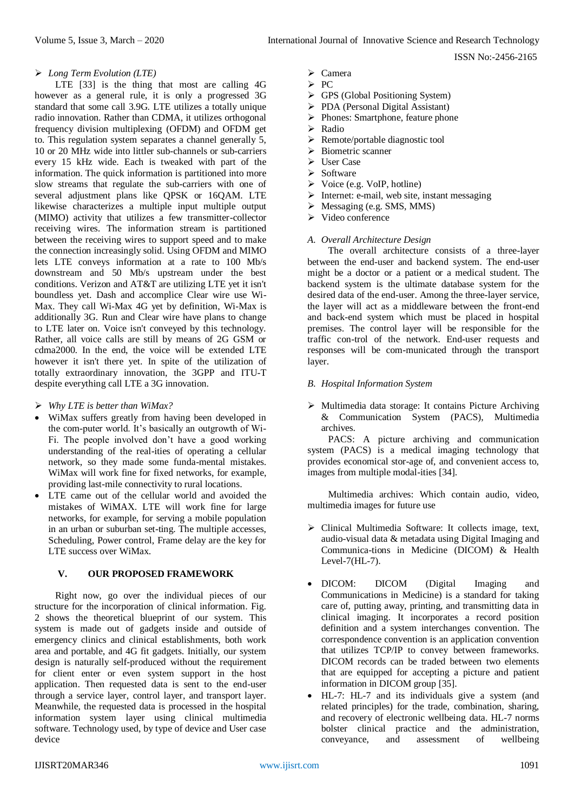#### *Long Term Evolution (LTE)*

LTE [33] is the thing that most are calling 4G however as a general rule, it is only a progressed 3G standard that some call 3.9G. LTE utilizes a totally unique radio innovation. Rather than CDMA, it utilizes orthogonal frequency division multiplexing (OFDM) and OFDM get to. This regulation system separates a channel generally 5, 10 or 20 MHz wide into littler sub-channels or sub-carriers every 15 kHz wide. Each is tweaked with part of the information. The quick information is partitioned into more slow streams that regulate the sub-carriers with one of several adjustment plans like QPSK or 16QAM. LTE likewise characterizes a multiple input multiple output (MIMO) activity that utilizes a few transmitter-collector receiving wires. The information stream is partitioned between the receiving wires to support speed and to make the connection increasingly solid. Using OFDM and MIMO lets LTE conveys information at a rate to 100 Mb/s downstream and 50 Mb/s upstream under the best conditions. Verizon and AT&T are utilizing LTE yet it isn't boundless yet. Dash and accomplice Clear wire use Wi-Max. They call Wi-Max 4G yet by definition, Wi-Max is additionally 3G. Run and Clear wire have plans to change to LTE later on. Voice isn't conveyed by this technology. Rather, all voice calls are still by means of 2G GSM or cdma2000. In the end, the voice will be extended LTE however it isn't there yet. In spite of the utilization of totally extraordinary innovation, the 3GPP and ITU-T despite everything call LTE a 3G innovation.

- *Why LTE is better than WiMax?*
- WiMax suffers greatly from having been developed in the com-puter world. It's basically an outgrowth of Wi-Fi. The people involved don't have a good working understanding of the real-ities of operating a cellular network, so they made some funda-mental mistakes. WiMax will work fine for fixed networks, for example, providing last-mile connectivity to rural locations.
- LTE came out of the cellular world and avoided the mistakes of WiMAX. LTE will work fine for large networks, for example, for serving a mobile population in an urban or suburban set-ting. The multiple accesses, Scheduling, Power control, Frame delay are the key for LTE success over WiMax.

## **V. OUR PROPOSED FRAMEWORK**

Right now, go over the individual pieces of our structure for the incorporation of clinical information. Fig. 2 shows the theoretical blueprint of our system. This system is made out of gadgets inside and outside of emergency clinics and clinical establishments, both work area and portable, and 4G fit gadgets. Initially, our system design is naturally self-produced without the requirement for client enter or even system support in the host application. Then requested data is sent to the end-user through a service layer, control layer, and transport layer. Meanwhile, the requested data is processed in the hospital information system layer using clinical multimedia software. Technology used, by type of device and User case device

- $\triangleright$  PC
- GPS (Global Positioning System)
- PDA (Personal Digital Assistant)
- $\triangleright$  Phones: Smartphone, feature phone
- Radio
- $\triangleright$  Remote/portable diagnostic tool
- $\triangleright$  Biometric scanner
- $\triangleright$  User Case
- $\triangleright$  Software
- $\triangleright$  Voice (e.g. VoIP, hotline)
- $\triangleright$  Internet: e-mail, web site, instant messaging
- $\triangleright$  Messaging (e.g. SMS, MMS)
- $\triangleright$  Video conference

#### *A. Overall Architecture Design*

The overall architecture consists of a three-layer between the end-user and backend system. The end-user might be a doctor or a patient or a medical student. The backend system is the ultimate database system for the desired data of the end-user. Among the three-layer service, the layer will act as a middleware between the front-end and back-end system which must be placed in hospital premises. The control layer will be responsible for the traffic con-trol of the network. End-user requests and responses will be com-municated through the transport layer.

- *B. Hospital Information System*
- Multimedia data storage: It contains Picture Archiving & Communication System (PACS), Multimedia archives.

PACS: A picture archiving and communication system (PACS) is a medical imaging technology that provides economical stor-age of, and convenient access to, images from multiple modal-ities [34].

Multimedia archives: Which contain audio, video, multimedia images for future use

- Clinical Multimedia Software: It collects image, text, audio-visual data & metadata using Digital Imaging and Communica-tions in Medicine (DICOM) & Health Level-7(HL-7).
- DICOM: DICOM (Digital Imaging and Communications in Medicine) is a standard for taking care of, putting away, printing, and transmitting data in clinical imaging. It incorporates a record position definition and a system interchanges convention. The correspondence convention is an application convention that utilizes TCP/IP to convey between frameworks. DICOM records can be traded between two elements that are equipped for accepting a picture and patient information in DICOM group [35].
- HL-7: HL-7 and its individuals give a system (and related principles) for the trade, combination, sharing, and recovery of electronic wellbeing data. HL-7 norms bolster clinical practice and the administration, conveyance, and assessment of wellbeing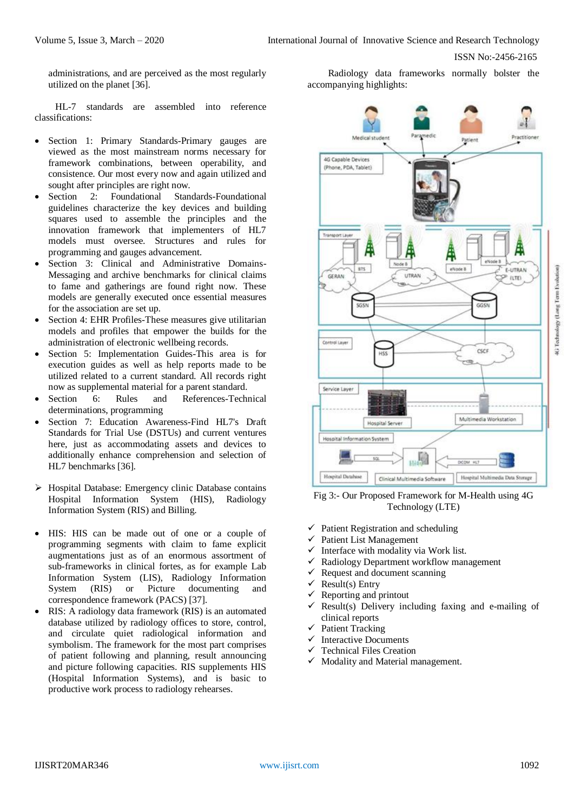administrations, and are perceived as the most regularly utilized on the planet [36].

HL-7 standards are assembled into reference classifications:

- Section 1: Primary Standards-Primary gauges are viewed as the most mainstream norms necessary for framework combinations, between operability, and consistence. Our most every now and again utilized and sought after principles are right now.
- Section 2: Foundational Standards-Foundational guidelines characterize the key devices and building squares used to assemble the principles and the innovation framework that implementers of HL7 models must oversee. Structures and rules for programming and gauges advancement.
- Section 3: Clinical and Administrative Domains-Messaging and archive benchmarks for clinical claims to fame and gatherings are found right now. These models are generally executed once essential measures for the association are set up.
- Section 4: EHR Profiles-These measures give utilitarian models and profiles that empower the builds for the administration of electronic wellbeing records.
- Section 5: Implementation Guides-This area is for execution guides as well as help reports made to be utilized related to a current standard. All records right now as supplemental material for a parent standard.
- Section 6: Rules and References-Technical determinations, programming
- Section 7: Education Awareness-Find HL7's Draft Standards for Trial Use (DSTUs) and current ventures here, just as accommodating assets and devices to additionally enhance comprehension and selection of HL7 benchmarks [36].
- $\triangleright$  Hospital Database: Emergency clinic Database contains Hospital Information System (HIS), Radiology Information System (RIS) and Billing.
- HIS: HIS can be made out of one or a couple of programming segments with claim to fame explicit augmentations just as of an enormous assortment of sub-frameworks in clinical fortes, as for example Lab Information System (LIS), Radiology Information System (RIS) or Picture documenting and correspondence framework (PACS) [37].
- RIS: A radiology data framework (RIS) is an automated database utilized by radiology offices to store, control, and circulate quiet radiological information and symbolism. The framework for the most part comprises of patient following and planning, result announcing and picture following capacities. RIS supplements HIS (Hospital Information Systems), and is basic to productive work process to radiology rehearses.

Radiology data frameworks normally bolster the accompanying highlights:



Fig 3:- Our Proposed Framework for M-Health using 4G Technology (LTE)

- $\checkmark$  Patient Registration and scheduling
- $\checkmark$  Patient List Management
- $\checkmark$  Interface with modality via Work list.
- $\checkmark$  Radiology Department workflow management
- $\checkmark$  Request and document scanning
- $\checkmark$  Result(s) Entry
- Reporting and printout
- Result(s) Delivery including faxing and e-mailing of clinical reports
- $\checkmark$  Patient Tracking
- $\checkmark$  Interactive Documents
- Technical Files Creation
- $\checkmark$  Modality and Material management.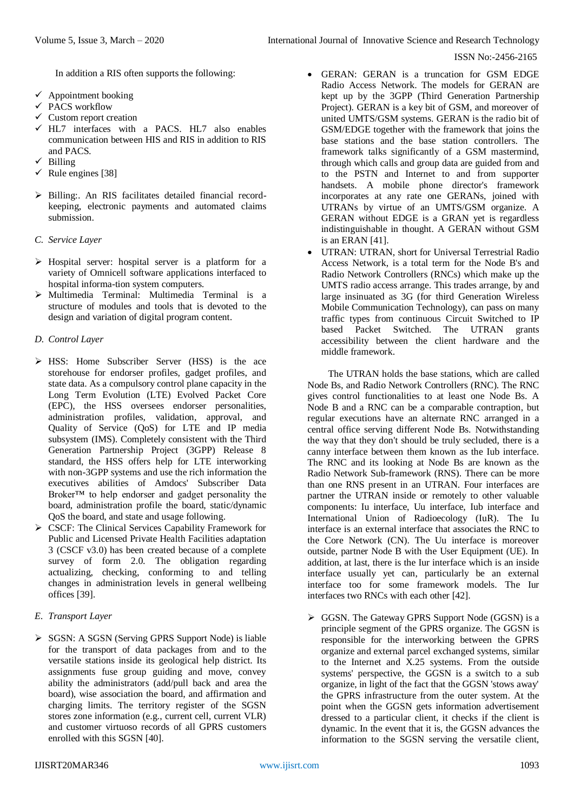In addition a RIS often supports the following:

- $\checkmark$  Appointment booking
- PACS workflow
- $\checkmark$  Custom report creation
- $\checkmark$  HL7 interfaces with a PACS. HL7 also enables communication between HIS and RIS in addition to RIS and PACS.
- $\checkmark$  Billing
- $\checkmark$  Rule engines [38]
- $\triangleright$  Billing:. An RIS facilitates detailed financial recordkeeping, electronic payments and automated claims submission.
- *C. Service Layer*
- $\triangleright$  Hospital server: hospital server is a platform for a variety of Omnicell software applications interfaced to hospital informa-tion system computers.
- $\triangleright$  Multimedia Terminal: Multimedia Terminal is a structure of modules and tools that is devoted to the design and variation of digital program content.
- *D. Control Layer*
- > HSS: Home Subscriber Server (HSS) is the ace storehouse for endorser profiles, gadget profiles, and state data. As a compulsory control plane capacity in the Long Term Evolution (LTE) Evolved Packet Core (EPC), the HSS oversees endorser personalities, administration profiles, validation, approval, and Quality of Service (QoS) for LTE and IP media subsystem (IMS). Completely consistent with the Third Generation Partnership Project (3GPP) Release 8 standard, the HSS offers help for LTE interworking with non-3GPP systems and use the rich information the executives abilities of Amdocs' Subscriber Data Broker™ to help endorser and gadget personality the board, administration profile the board, static/dynamic QoS the board, and state and usage following.
- CSCF: The Clinical Services Capability Framework for Public and Licensed Private Health Facilities adaptation 3 (CSCF v3.0) has been created because of a complete survey of form 2.0. The obligation regarding actualizing, checking, conforming to and telling changes in administration levels in general wellbeing offices [39].
- *E. Transport Layer*
- $\triangleright$  SGSN: A SGSN (Serving GPRS Support Node) is liable for the transport of data packages from and to the versatile stations inside its geological help district. Its assignments fuse group guiding and move, convey ability the administrators (add/pull back and area the board), wise association the board, and affirmation and charging limits. The territory register of the SGSN stores zone information (e.g., current cell, current VLR) and customer virtuoso records of all GPRS customers enrolled with this SGSN [40].
- GERAN: GERAN is a truncation for GSM EDGE Radio Access Network. The models for GERAN are kept up by the 3GPP (Third Generation Partnership Project). GERAN is a key bit of GSM, and moreover of united UMTS/GSM systems. GERAN is the radio bit of GSM/EDGE together with the framework that joins the base stations and the base station controllers. The framework talks significantly of a GSM mastermind, through which calls and group data are guided from and to the PSTN and Internet to and from supporter handsets. A mobile phone director's framework incorporates at any rate one GERANs, joined with UTRANs by virtue of an UMTS/GSM organize. A GERAN without EDGE is a GRAN yet is regardless indistinguishable in thought. A GERAN without GSM is an ERAN [41].
- UTRAN: UTRAN, short for Universal Terrestrial Radio Access Network, is a total term for the Node B's and Radio Network Controllers (RNCs) which make up the UMTS radio access arrange. This trades arrange, by and large insinuated as 3G (for third Generation Wireless Mobile Communication Technology), can pass on many traffic types from continuous Circuit Switched to IP based Packet Switched. The UTRAN grants accessibility between the client hardware and the middle framework.

The UTRAN holds the base stations, which are called Node Bs, and Radio Network Controllers (RNC). The RNC gives control functionalities to at least one Node Bs. A Node B and a RNC can be a comparable contraption, but regular executions have an alternate RNC arranged in a central office serving different Node Bs. Notwithstanding the way that they don't should be truly secluded, there is a canny interface between them known as the Iub interface. The RNC and its looking at Node Bs are known as the Radio Network Sub-framework (RNS). There can be more than one RNS present in an UTRAN. Four interfaces are partner the UTRAN inside or remotely to other valuable components: Iu interface, Uu interface, Iub interface and International Union of Radioecology (IuR). The Iu interface is an external interface that associates the RNC to the Core Network (CN). The Uu interface is moreover outside, partner Node B with the User Equipment (UE). In addition, at last, there is the Iur interface which is an inside interface usually yet can, particularly be an external interface too for some framework models. The Iur interfaces two RNCs with each other [42].

 GGSN. The Gateway GPRS Support Node (GGSN) is a principle segment of the GPRS organize. The GGSN is responsible for the interworking between the GPRS organize and external parcel exchanged systems, similar to the Internet and X.25 systems. From the outside systems' perspective, the GGSN is a switch to a sub organize, in light of the fact that the GGSN 'stows away' the GPRS infrastructure from the outer system. At the point when the GGSN gets information advertisement dressed to a particular client, it checks if the client is dynamic. In the event that it is, the GGSN advances the information to the SGSN serving the versatile client,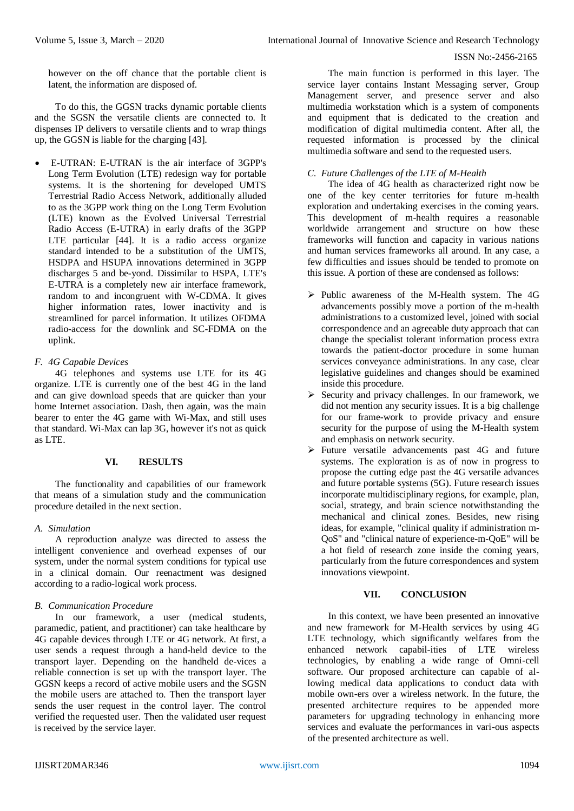however on the off chance that the portable client is latent, the information are disposed of.

To do this, the GGSN tracks dynamic portable clients and the SGSN the versatile clients are connected to. It dispenses IP delivers to versatile clients and to wrap things up, the GGSN is liable for the charging [43].

 E-UTRAN: E-UTRAN is the air interface of 3GPP's Long Term Evolution (LTE) redesign way for portable systems. It is the shortening for developed UMTS Terrestrial Radio Access Network, additionally alluded to as the 3GPP work thing on the Long Term Evolution (LTE) known as the Evolved Universal Terrestrial Radio Access (E-UTRA) in early drafts of the 3GPP LTE particular [44]. It is a radio access organize standard intended to be a substitution of the UMTS, HSDPA and HSUPA innovations determined in 3GPP discharges 5 and be-yond. Dissimilar to HSPA, LTE's E-UTRA is a completely new air interface framework, random to and incongruent with W-CDMA. It gives higher information rates, lower inactivity and is streamlined for parcel information. It utilizes OFDMA radio-access for the downlink and SC-FDMA on the uplink.

# *F. 4G Capable Devices*

4G telephones and systems use LTE for its 4G organize. LTE is currently one of the best 4G in the land and can give download speeds that are quicker than your home Internet association. Dash, then again, was the main bearer to enter the 4G game with Wi-Max, and still uses that standard. Wi-Max can lap 3G, however it's not as quick as LTE.

## **VI. RESULTS**

The functionality and capabilities of our framework that means of a simulation study and the communication procedure detailed in the next section.

# *A. Simulation*

A reproduction analyze was directed to assess the intelligent convenience and overhead expenses of our system, under the normal system conditions for typical use in a clinical domain. Our reenactment was designed according to a radio-logical work process.

# *B. Communication Procedure*

In our framework, a user (medical students, paramedic, patient, and practitioner) can take healthcare by 4G capable devices through LTE or 4G network. At first, a user sends a request through a hand-held device to the transport layer. Depending on the handheld de-vices a reliable connection is set up with the transport layer. The GGSN keeps a record of active mobile users and the SGSN the mobile users are attached to. Then the transport layer sends the user request in the control layer. The control verified the requested user. Then the validated user request is received by the service layer.

The main function is performed in this layer. The service layer contains Instant Messaging server, Group Management server, and presence server and also multimedia workstation which is a system of components and equipment that is dedicated to the creation and modification of digital multimedia content. After all, the requested information is processed by the clinical multimedia software and send to the requested users.

## *C. Future Challenges of the LTE of M-Health*

The idea of 4G health as characterized right now be one of the key center territories for future m-health exploration and undertaking exercises in the coming years. This development of m-health requires a reasonable worldwide arrangement and structure on how these frameworks will function and capacity in various nations and human services frameworks all around. In any case, a few difficulties and issues should be tended to promote on this issue. A portion of these are condensed as follows:

- $\triangleright$  Public awareness of the M-Health system. The 4G advancements possibly move a portion of the m-health administrations to a customized level, joined with social correspondence and an agreeable duty approach that can change the specialist tolerant information process extra towards the patient-doctor procedure in some human services conveyance administrations. In any case, clear legislative guidelines and changes should be examined inside this procedure.
- $\triangleright$  Security and privacy challenges. In our framework, we did not mention any security issues. It is a big challenge for our frame-work to provide privacy and ensure security for the purpose of using the M-Health system and emphasis on network security.
- $\triangleright$  Future versatile advancements past 4G and future systems. The exploration is as of now in progress to propose the cutting edge past the 4G versatile advances and future portable systems (5G). Future research issues incorporate multidisciplinary regions, for example, plan, social, strategy, and brain science notwithstanding the mechanical and clinical zones. Besides, new rising ideas, for example, "clinical quality if administration m-QoS" and "clinical nature of experience-m-QoE" will be a hot field of research zone inside the coming years, particularly from the future correspondences and system innovations viewpoint.

# **VII. CONCLUSION**

In this context, we have been presented an innovative and new framework for M-Health services by using 4G LTE technology, which significantly welfares from the enhanced network capabil-ities of LTE wireless technologies, by enabling a wide range of Omni-cell software. Our proposed architecture can capable of allowing medical data applications to conduct data with mobile own-ers over a wireless network. In the future, the presented architecture requires to be appended more parameters for upgrading technology in enhancing more services and evaluate the performances in vari-ous aspects of the presented architecture as well.